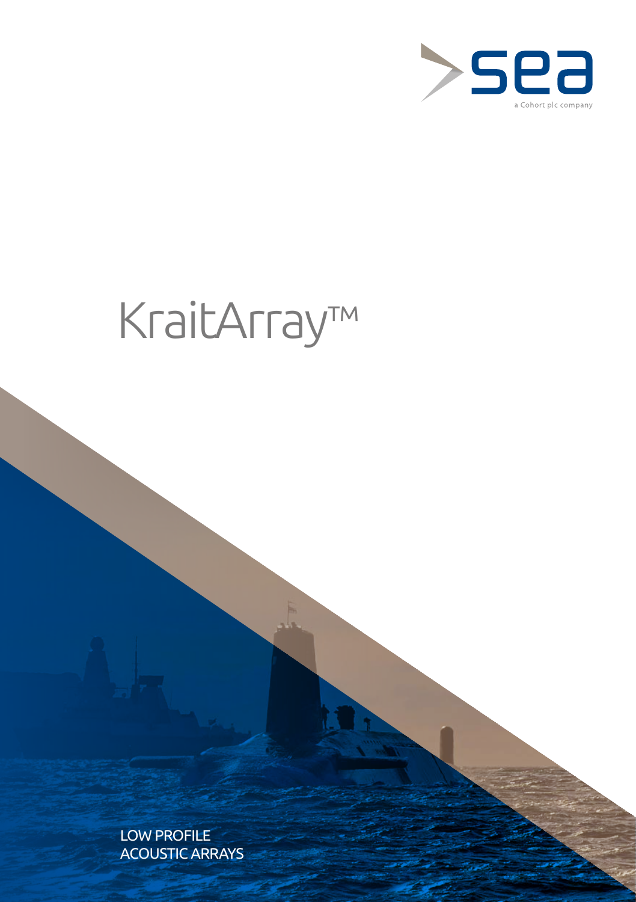

# KraitArray™

LOW PROFILE ACOUSTIC ARRAYS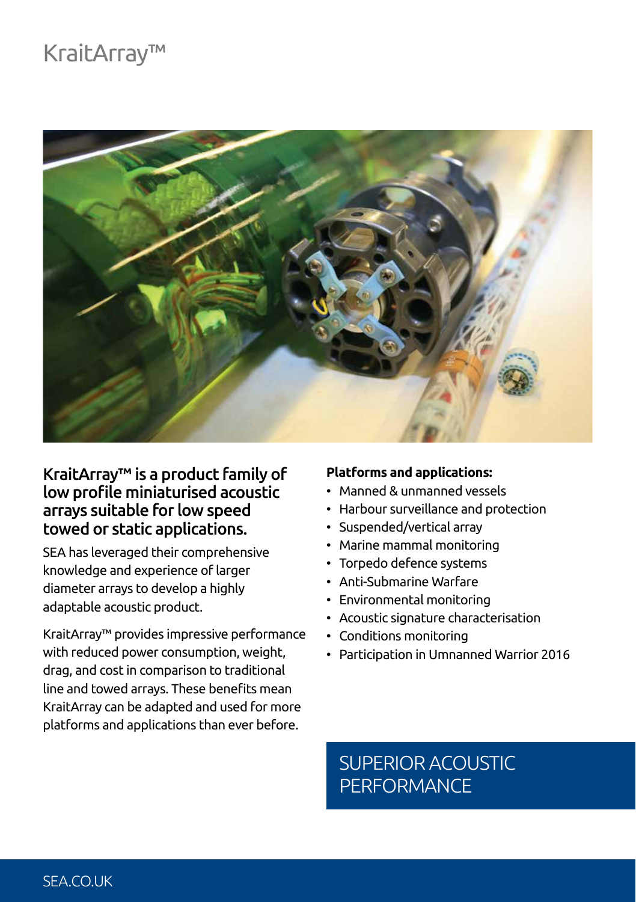## KraitArray™



### KraitArray™ is a product family of low profile miniaturised acoustic arrays suitable for low speed towed or static applications.

SEA has leveraged their comprehensive knowledge and experience of larger diameter arrays to develop a highly adaptable acoustic product.

KraitArray™ provides impressive performance with reduced power consumption, weight, drag, and cost in comparison to traditional line and towed arrays. These benefits mean KraitArray can be adapted and used for more platforms and applications than ever before.

#### **Platforms and applications:**

- Manned & unmanned vessels
- Harbour surveillance and protection
- Suspended/vertical array
- Marine mammal monitoring
- Torpedo defence systems
- Anti-Submarine Warfare
- Environmental monitoring
- Acoustic signature characterisation
- Conditions monitoring
- Participation in Umnanned Warrior 2016

## SUPERIOR ACOUSTIC **PERFORMANCE**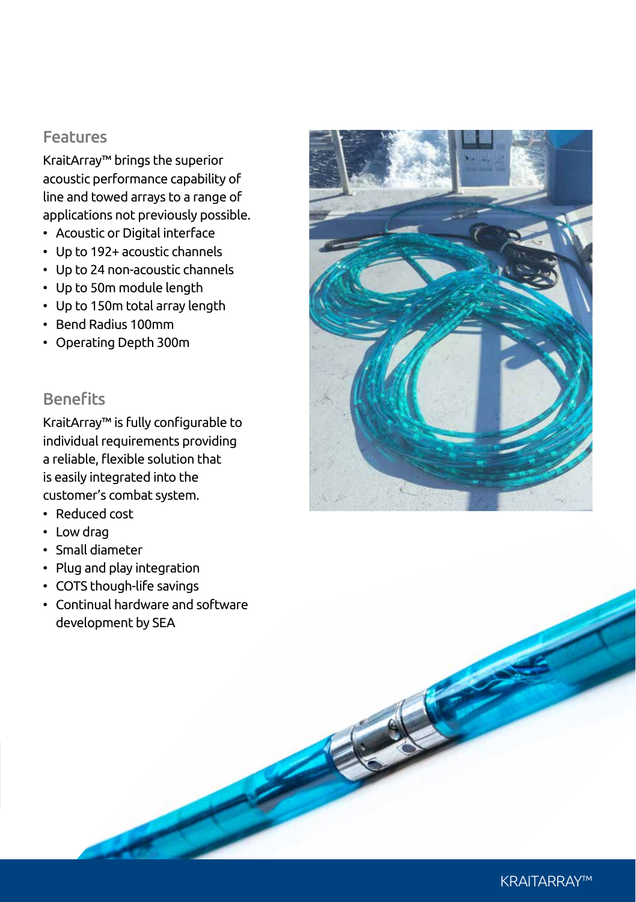#### Features

KraitArray™ brings the superior acoustic performance capability of line and towed arrays to a range of applications not previously possible.

- Acoustic or Digital interface
- Up to 192+ acoustic channels
- Up to 24 non-acoustic channels
- Up to 50m module length
- Up to 150m total array length
- Bend Radius 100mm
- Operating Depth 300m

#### **Benefits**

KraitArray™ is fully configurable to individual requirements providing a reliable, flexible solution that is easily integrated into the customer's combat system.

- Reduced cost
- Low drag
- Small diameter
- Plug and play integration
- COTS though-life savings
- Continual hardware and software development by SEA